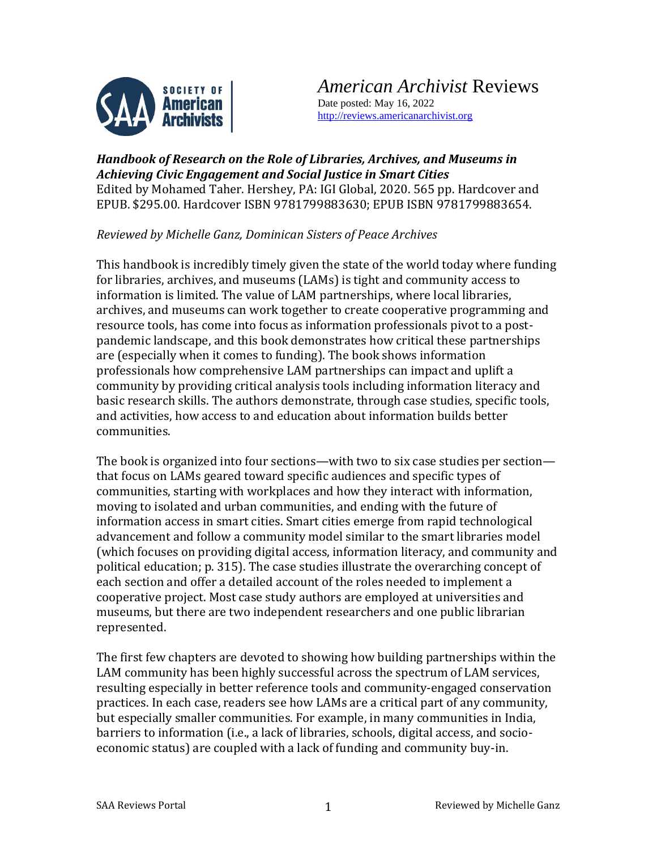

*American Archivist* Reviews Date posted: May 16, 2022 [http://reviews.americanarchivist.org](http://reviews.americanarchivist.org/)

## *Handbook of Research on the Role of Libraries, Archives, and Museums in Achieving Civic Engagement and Social Justice in Smart Cities* Edited by Mohamed Taher. Hershey, PA: IGI Global, 2020. 565 pp. Hardcover and EPUB. \$295.00. Hardcover ISBN 9781799883630; EPUB ISBN 9781799883654.

*Reviewed by Michelle Ganz, Dominican Sisters of Peace Archives*

This handbook is incredibly timely given the state of the world today where funding for libraries, archives, and museums (LAMs) is tight and community access to information is limited. The value of LAM partnerships, where local libraries, archives, and museums can work together to create cooperative programming and resource tools, has come into focus as information professionals pivot to a postpandemic landscape, and this book demonstrates how critical these partnerships are (especially when it comes to funding). The book shows information professionals how comprehensive LAM partnerships can impact and uplift a community by providing critical analysis tools including information literacy and basic research skills. The authors demonstrate, through case studies, specific tools, and activities, how access to and education about information builds better communities.

The book is organized into four sections—with two to six case studies per section that focus on LAMs geared toward specific audiences and specific types of communities, starting with workplaces and how they interact with information, moving to isolated and urban communities, and ending with the future of information access in smart cities. Smart cities emerge from rapid technological advancement and follow a community model similar to the smart libraries model (which focuses on providing digital access, information literacy, and community and political education; p. 315). The case studies illustrate the overarching concept of each section and offer a detailed account of the roles needed to implement a cooperative project. Most case study authors are employed at universities and museums, but there are two independent researchers and one public librarian represented.

The first few chapters are devoted to showing how building partnerships within the LAM community has been highly successful across the spectrum of LAM services, resulting especially in better reference tools and community-engaged conservation practices. In each case, readers see how LAMs are a critical part of any community, but especially smaller communities. For example, in many communities in India, barriers to information (i.e., a lack of libraries, schools, digital access, and socioeconomic status) are coupled with a lack of funding and community buy-in.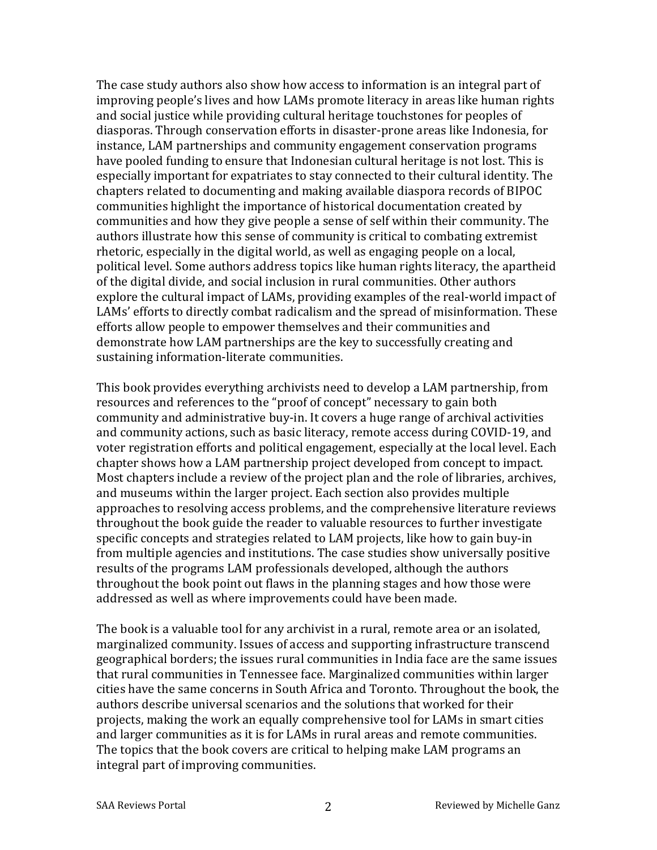The case study authors also show how access to information is an integral part of improving people's lives and how LAMs promote literacy in areas like human rights and social justice while providing cultural heritage touchstones for peoples of diasporas. Through conservation efforts in disaster-prone areas like Indonesia, for instance, LAM partnerships and community engagement conservation programs have pooled funding to ensure that Indonesian cultural heritage is not lost. This is especially important for expatriates to stay connected to their cultural identity. The chapters related to documenting and making available diaspora records of BIPOC communities highlight the importance of historical documentation created by communities and how they give people a sense of self within their community. The authors illustrate how this sense of community is critical to combating extremist rhetoric, especially in the digital world, as well as engaging people on a local, political level. Some authors address topics like human rights literacy, the apartheid of the digital divide, and social inclusion in rural communities. Other authors explore the cultural impact of LAMs, providing examples of the real-world impact of LAMs' efforts to directly combat radicalism and the spread of misinformation. These efforts allow people to empower themselves and their communities and demonstrate how LAM partnerships are the key to successfully creating and sustaining information-literate communities.

This book provides everything archivists need to develop a LAM partnership, from resources and references to the "proof of concept" necessary to gain both community and administrative buy-in. It covers a huge range of archival activities and community actions, such as basic literacy, remote access during COVID-19, and voter registration efforts and political engagement, especially at the local level. Each chapter shows how a LAM partnership project developed from concept to impact. Most chapters include a review of the project plan and the role of libraries, archives, and museums within the larger project. Each section also provides multiple approaches to resolving access problems, and the comprehensive literature reviews throughout the book guide the reader to valuable resources to further investigate specific concepts and strategies related to LAM projects, like how to gain buy-in from multiple agencies and institutions. The case studies show universally positive results of the programs LAM professionals developed, although the authors throughout the book point out flaws in the planning stages and how those were addressed as well as where improvements could have been made.

The book is a valuable tool for any archivist in a rural, remote area or an isolated, marginalized community. Issues of access and supporting infrastructure transcend geographical borders; the issues rural communities in India face are the same issues that rural communities in Tennessee face. Marginalized communities within larger cities have the same concerns in South Africa and Toronto. Throughout the book, the authors describe universal scenarios and the solutions that worked for their projects, making the work an equally comprehensive tool for LAMs in smart cities and larger communities as it is for LAMs in rural areas and remote communities. The topics that the book covers are critical to helping make LAM programs an integral part of improving communities.